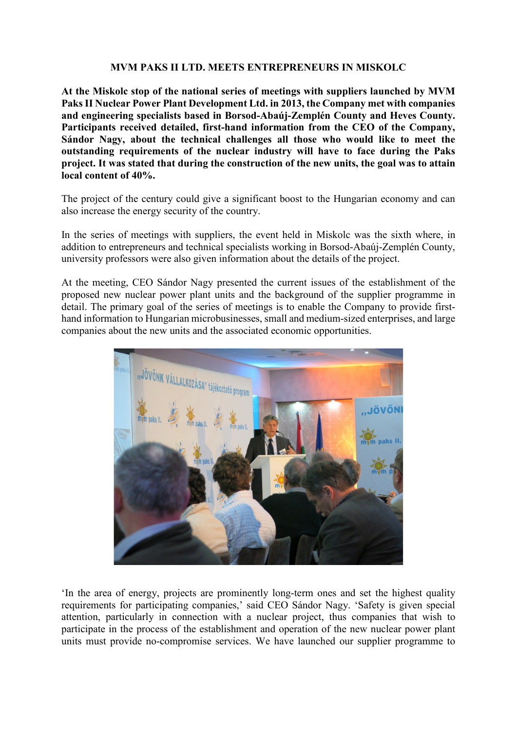## **MVM PAKS II LTD. MEETS ENTREPRENEURS IN MISKOLC**

**At the Miskolc stop of the national series of meetings with suppliers launched by MVM Paks II Nuclear Power Plant Development Ltd. in 2013, the Company met with companies and engineering specialists based in Borsod-Abaúj-Zemplén County and Heves County. Participants received detailed, first-hand information from the CEO of the Company, Sándor Nagy, about the technical challenges all those who would like to meet the outstanding requirements of the nuclear industry will have to face during the Paks project. It was stated that during the construction of the new units, the goal was to attain local content of 40%.**

The project of the century could give a significant boost to the Hungarian economy and can also increase the energy security of the country.

In the series of meetings with suppliers, the event held in Miskolc was the sixth where, in addition to entrepreneurs and technical specialists working in Borsod-Abaúj-Zemplén County, university professors were also given information about the details of the project.

At the meeting, CEO Sándor Nagy presented the current issues of the establishment of the proposed new nuclear power plant units and the background of the supplier programme in detail. The primary goal of the series of meetings is to enable the Company to provide firsthand information to Hungarian microbusinesses, small and medium-sized enterprises, and large companies about the new units and the associated economic opportunities.



'In the area of energy, projects are prominently long-term ones and set the highest quality requirements for participating companies,' said CEO Sándor Nagy. 'Safety is given special attention, particularly in connection with a nuclear project, thus companies that wish to participate in the process of the establishment and operation of the new nuclear power plant units must provide no-compromise services. We have launched our supplier programme to